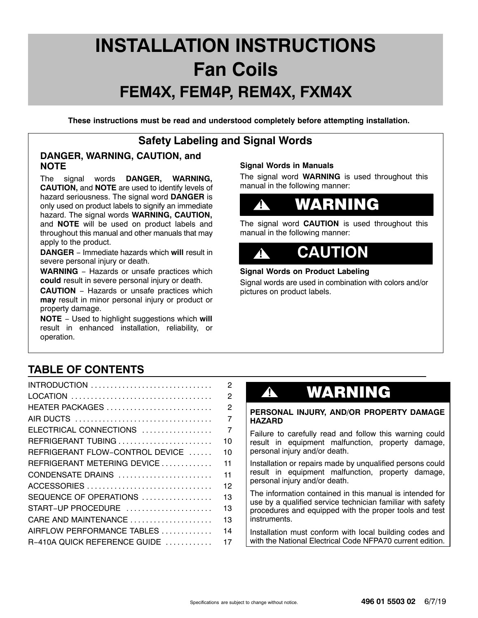# **INSTALLATION INSTRUCTIONS Fan Coils FEM4X, FEM4P, REM4X, FXM4X**

**These instructions must be read and understood completely before attempting installation.**

## **Safety Labeling and Signal Words**

### **DANGER, WARNING, CAUTION, and NOTE**

The signal words **DANGER, WARNING, CAUTION,** and **NOTE** are used to identify levels of hazard seriousness. The signal word **DANGER** is only used on product labels to signify an immediate hazard. The signal words **WARNING, CAUTION,** and **NOTE** will be used on product labels and throughout this manual and other manuals that may apply to the product.

**DANGER** − Immediate hazards which **will** result in severe personal injury or death.

**WARNING** − Hazards or unsafe practices which **could** result in severe personal injury or death.

**CAUTION** − Hazards or unsafe practices which **may** result in minor personal injury or product or property damage.

**NOTE** − Used to highlight suggestions which **will** result in enhanced installation, reliability, or operation.

### **Signal Words in Manuals**

The signal word **WARNING** is used throughout this manual in the following manner:

#### **!** WARNING

The signal word **CAUTION** is used throughout this manual in the following manner:

#### **CAUTION !**

### **Signal Words on Product Labeling**

Signal words are used in combination with colors and/or pictures on product labels.

# **TABLE OF CONTENTS**

|                                 | $\overline{2}$ |
|---------------------------------|----------------|
|                                 | $\overline{c}$ |
| HEATER PACKAGES                 | $\overline{2}$ |
|                                 | 7              |
| ELECTRICAL CONNECTIONS          | $\overline{7}$ |
| REFRIGERANT TUBING              | 10             |
| REFRIGERANT FLOW-CONTROL DEVICE | 10             |
| REFRIGERANT METERING DEVICE     | 11             |
| CONDENSATE DRAINS               | 11             |
|                                 | 12             |
| SEQUENCE OF OPERATIONS          | 13             |
| START-UP PROCEDURE              | 13             |
| CARE AND MAINTENANCE            | 13             |
| AIRFLOW PERFORMANCE TABLES      | 14             |
| R-410A QUICK REFERENCE GUIDE    | 17             |
|                                 |                |

# **!** WARNING

#### **PERSONAL INJURY, AND/OR PROPERTY DAMAGE HAZARD**

Failure to carefully read and follow this warning could result in equipment malfunction, property damage, personal injury and/or death.

Installation or repairs made by unqualified persons could result in equipment malfunction, property damage, personal injury and/or death.

The information contained in this manual is intended for use by a qualified service technician familiar with safety procedures and equipped with the proper tools and test instruments.

Installation must conform with local building codes and with the National Electrical Code NFPA70 current edition.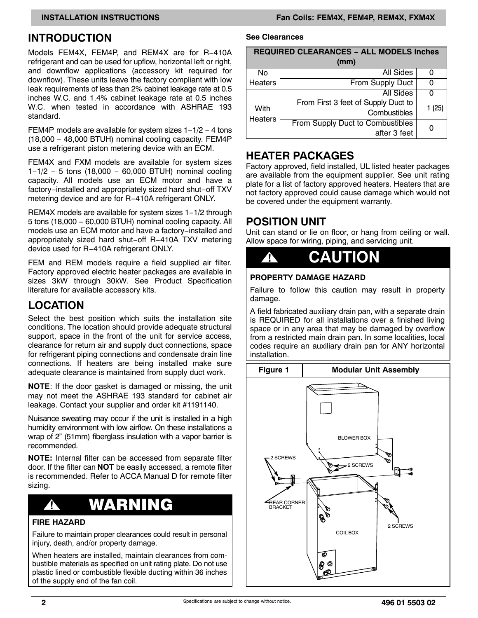Models FEM4X, FEM4P, and REM4X are for R−410A refrigerant and can be used for upflow, horizontal left or right, and downflow applications (accessory kit required for downflow). These units leave the factory compliant with low leak requirements of less than 2% cabinet leakage rate at 0.5 inches W.C. and 1.4% cabinet leakage rate at 0.5 inches W.C. when tested in accordance with ASHRAE 193 standard.

FEM4P models are available for system sizes 1−1/2 − 4 tons (18,000 − 48,000 BTUH) nominal cooling capacity. FEM4P use a refrigerant piston metering device with an ECM.

FEM4X and FXM models are available for system sizes 1−1/2 − 5 tons (18,000 − 60,000 BTUH) nominal cooling capacity. All models use an ECM motor and have a factory−installed and appropriately sized hard shut−off TXV metering device and are for R−410A refrigerant ONLY.

REM4X models are available for system sizes 1−1/2 through 5 tons (18,000 − 60,000 BTUH) nominal cooling capacity. All models use an ECM motor and have a factory−installed and appropriately sized hard shut−off R−410A TXV metering device used for R−410A refrigerant ONLY.

FEM and REM models require a field supplied air filter. Factory approved electric heater packages are available in sizes 3kW through 30kW. See Product Specification literature for available accessory kits.

## **LOCATION**

Select the best position which suits the installation site conditions. The location should provide adequate structural support, space in the front of the unit for service access, clearance for return air and supply duct connections, space for refrigerant piping connections and condensate drain line connections. If heaters are being installed make sure adequate clearance is maintained from supply duct work.

**NOTE**: If the door gasket is damaged or missing, the unit may not meet the ASHRAE 193 standard for cabinet air leakage. Contact your supplier and order kit #1191140.

Nuisance sweating may occur if the unit is installed in a high humidity environment with low airflow. On these installations a wrap of 2" (51mm) fiberglass insulation with a vapor barrier is recommended.

**NOTE:** Internal filter can be accessed from separate filter door. If the filter can **NOT** be easily accessed, a remote filter is recommended. Refer to ACCA Manual D for remote filter sizing.

# **!** WARNING

### **FIRE HAZARD**

Failure to maintain proper clearances could result in personal injury, death, and/or property damage.

When heaters are installed, maintain clearances from combustible materials as specified on unit rating plate. Do not use plastic lined or combustible flexible ducting within 36 inches of the supply end of the fan coil.

#### **See Clearances**

| <b>REQUIRED CLEARANCES - ALL MODELS inches</b> |                                     |        |  |  |  |  |  |  |  |
|------------------------------------------------|-------------------------------------|--------|--|--|--|--|--|--|--|
| (mm)                                           |                                     |        |  |  |  |  |  |  |  |
| No                                             | All Sides                           |        |  |  |  |  |  |  |  |
| Heaters                                        | <b>From Supply Duct</b>             | 0      |  |  |  |  |  |  |  |
| With<br><b>Heaters</b>                         | <b>All Sides</b>                    |        |  |  |  |  |  |  |  |
|                                                | From First 3 feet of Supply Duct to | 1 (25) |  |  |  |  |  |  |  |
|                                                | Combustibles                        |        |  |  |  |  |  |  |  |
|                                                | From Supply Duct to Combustibles    |        |  |  |  |  |  |  |  |
|                                                | after 3 feet                        |        |  |  |  |  |  |  |  |

### **HEATER PACKAGES**

Factory approved, field installed, UL listed heater packages are available from the equipment supplier. See unit rating plate for a list of factory approved heaters. Heaters that are not factory approved could cause damage which would not be covered under the equipment warranty.

### **POSITION UNIT**

Unit can stand or lie on floor, or hang from ceiling or wall. Allow space for wiring, piping, and servicing unit.



### **PROPERTY DAMAGE HAZARD**

Failure to follow this caution may result in property damage.

A field fabricated auxiliary drain pan, with a separate drain is REQUIRED for all installations over a finished living space or in any area that may be damaged by overflow from a restricted main drain pan. In some localities, local codes require an auxiliary drain pan for ANY horizontal installation.

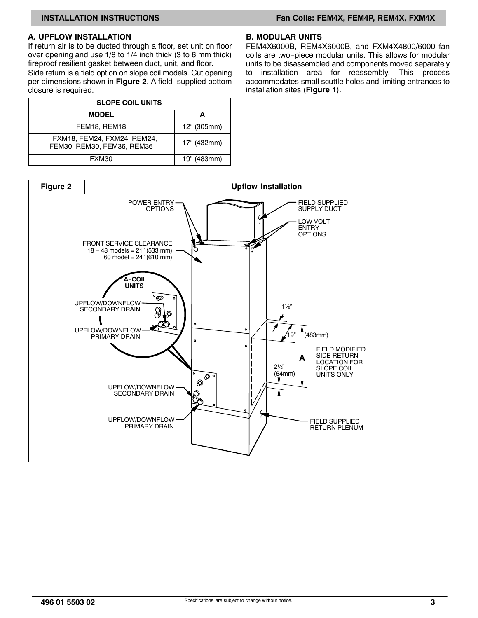#### <span id="page-2-0"></span>**A. UPFLOW INSTALLATION**

If return air is to be ducted through a floor, set unit on floor over opening and use 1/8 to 1/4 inch thick (3 to 6 mm thick) fireproof resilient gasket between duct, unit, and floor.

Side return is a field option on slope coil models. Cut opening per dimensions shown in **Figure 2**. A field−supplied bottom closure is required.

| <b>SLOPE COIL UNITS</b>                                   |             |  |  |  |  |  |  |
|-----------------------------------------------------------|-------------|--|--|--|--|--|--|
| <b>MODEL</b>                                              |             |  |  |  |  |  |  |
| FEM18, REM18                                              | 12" (305mm) |  |  |  |  |  |  |
| FXM18, FEM24, FXM24, REM24,<br>FEM30, REM30, FEM36, REM36 | 17" (432mm) |  |  |  |  |  |  |
| FXM30                                                     | 19" (483mm) |  |  |  |  |  |  |

#### **B. MODULAR UNITS**

FEM4X6000B, REM4X6000B, and FXM4X4800/6000 fan coils are two−piece modular units. This allows for modular units to be disassembled and components moved separately to installation area for reassembly. This process accommodates small scuttle holes and limiting entrances to installation sites (**Figure 1**).

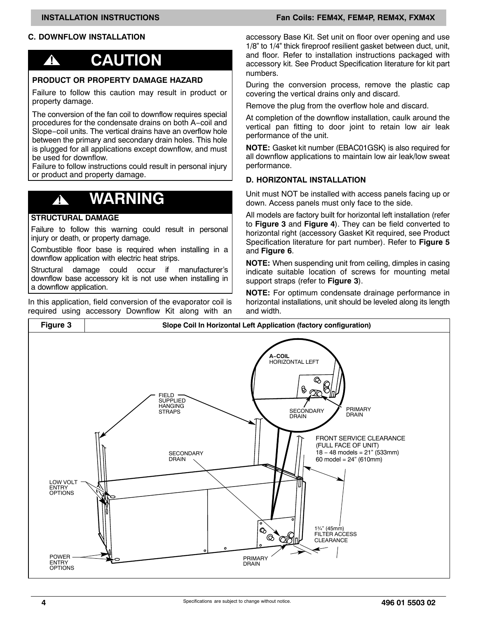### <span id="page-3-0"></span>**C. DOWNFLOW INSTALLATION**

# **! CAUTION**

#### **PRODUCT OR PROPERTY DAMAGE HAZARD**

Failure to follow this caution may result in product or property damage.

The conversion of the fan coil to downflow requires special procedures for the condensate drains on both A−coil and Slope−coil units. The vertical drains have an overflow hole between the primary and secondary drain holes. This hole is plugged for all applications except downflow, and must be used for downflow.

Failure to follow instructions could result in personal injury or product and property damage.

# **! WARNING**

#### **STRUCTURAL DAMAGE**

Failure to follow this warning could result in personal injury or death, or property damage.

Combustible floor base is required when installing in a downflow application with electric heat strips.

Structural damage could occur if manufacturer's downflow base accessory kit is not use when installing in a downflow application.

In this application, field conversion of the evaporator coil is required using accessory Downflow Kit along with an

**INSTALLATION INSTRUCTIONS FAND RESERVE THE SEXUAL FAND REMAX, FEM4P, REM4X, FXM4X** 

accessory Base Kit. Set unit on floor over opening and use 1/8" to 1/4" thick fireproof resilient gasket between duct, unit, and floor. Refer to installation instructions packaged with accessory kit. See Product Specification literature for kit part numbers.

During the conversion process, remove the plastic cap covering the vertical drains only and discard.

Remove the plug from the overflow hole and discard.

At completion of the downflow installation, caulk around the vertical pan fitting to door joint to retain low air leak performance of the unit.

**NOTE:** Gasket kit number (EBAC01GSK) is also required for all downflow applications to maintain low air leak/low sweat performance.

#### **D. HORIZONTAL INSTALLATION**

Unit must NOT be installed with access panels facing up or down. Access panels must only face to the side.

All models are factory built for horizontal left installation (refer to **Figure 3** and **[Figure 4](#page-4-0)**). They can be field converted to horizontal right (accessory Gasket Kit required, see Product Specification literature for part number). Refer to **[Figure 5](#page-4-0)** and **[Figure 6](#page-5-0)**.

**NOTE:** When suspending unit from ceiling, dimples in casing indicate suitable location of screws for mounting metal support straps (refer to **Figure 3**).

**NOTE:** For optimum condensate drainage performance in horizontal installations, unit should be leveled along its length and width.

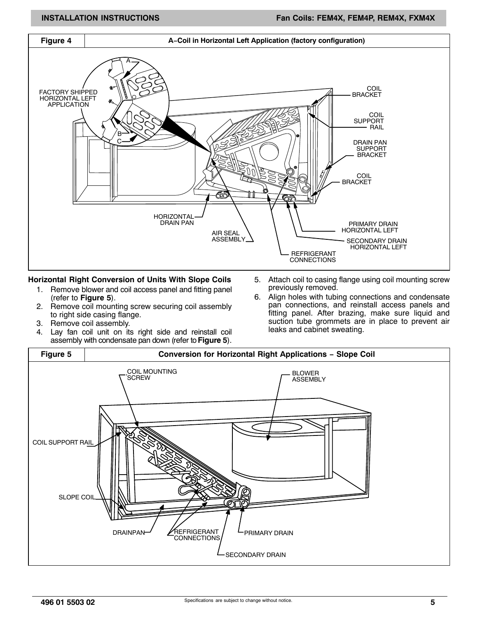<span id="page-4-0"></span>

#### **Horizontal Right Conversion of Units With Slope Coils**

- 1. Remove blower and coil access panel and fitting panel (refer to **Figure 5**).
- 2. Remove coil mounting screw securing coil assembly to right side casing flange.
- 3. Remove coil assembly.
- 4. Lay fan coil unit on its right side and reinstall coil assembly with condensate pan down (refer to **Figure 5**).
- 5. Attach coil to casing flange using coil mounting screw previously removed.
- 6. Align holes with tubing connections and condensate pan connections, and reinstall access panels and fitting panel. After brazing, make sure liquid and suction tube grommets are in place to prevent air leaks and cabinet sweating.

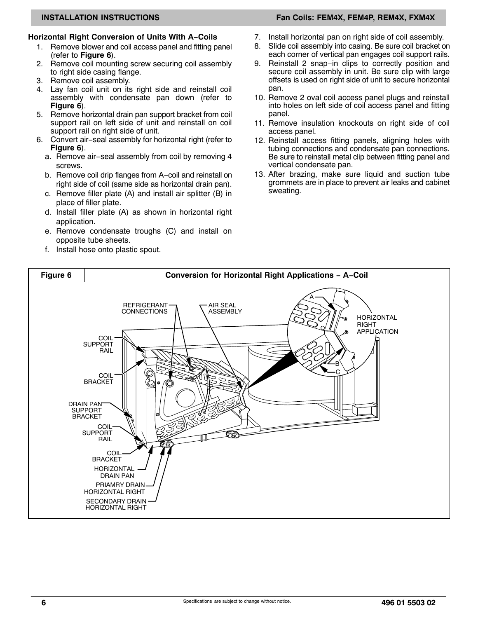### <span id="page-5-0"></span>**Horizontal Right Conversion of Units With A−Coils**

- 1. Remove blower and coil access panel and fitting panel (refer to **Figure 6**).
- 2. Remove coil mounting screw securing coil assembly to right side casing flange.
- 3. Remove coil assembly.
- 4. Lay fan coil unit on its right side and reinstall coil assembly with condensate pan down (refer to **Figure 6**).
- 5. Remove horizontal drain pan support bracket from coil support rail on left side of unit and reinstall on coil support rail on right side of unit.
- 6. Convert air−seal assembly for horizontal right (refer to **Figure 6**).
	- a. Remove air−seal assembly from coil by removing 4 screws.
	- b. Remove coil drip flanges from A−coil and reinstall on right side of coil (same side as horizontal drain pan).
	- c. Remove filler plate (A) and install air splitter (B) in place of filler plate.
	- d. Install filler plate (A) as shown in horizontal right application.
	- e. Remove condensate troughs (C) and install on opposite tube sheets.
	- f. Install hose onto plastic spout.

### **INSTALLATION INSTRUCTIONS FAND RESERVE THE SEXUAL FAND REMAX, FEM4P, REM4X, FXM4X**

- 7. Install horizontal pan on right side of coil assembly.
- 8. Slide coil assembly into casing. Be sure coil bracket on each corner of vertical pan engages coil support rails.
- 9. Reinstall 2 snap−in clips to correctly position and secure coil assembly in unit. Be sure clip with large offsets is used on right side of unit to secure horizontal pan.
- 10. Remove 2 oval coil access panel plugs and reinstall into holes on left side of coil access panel and fitting panel.
- 11. Remove insulation knockouts on right side of coil access panel.
- 12. Reinstall access fitting panels, aligning holes with tubing connections and condensate pan connections. Be sure to reinstall metal clip between fitting panel and vertical condensate pan.
- 13. After brazing, make sure liquid and suction tube grommets are in place to prevent air leaks and cabinet sweating.

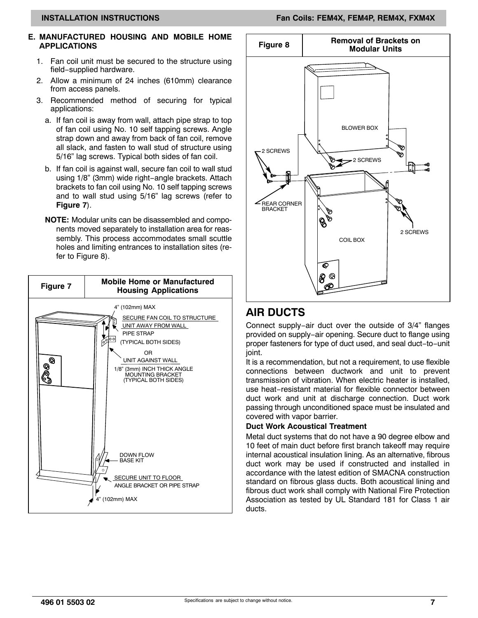#### **INSTALLATION INSTRUCTIONS FAND RESERVE THE SEXUAL FAND REMAX, FEM4P, REM4X, FXM4X**

#### **E. MANUFACTURED HOUSING AND MOBILE HOME APPLICATIONS**

- 1. Fan coil unit must be secured to the structure using field−supplied hardware.
- 2. Allow a minimum of 24 inches (610mm) clearance from access panels.
- 3. Recommended method of securing for typical applications:
	- a. If fan coil is away from wall, attach pipe strap to top of fan coil using No. 10 self tapping screws. Angle strap down and away from back of fan coil, remove all slack, and fasten to wall stud of structure using 5/16" lag screws. Typical both sides of fan coil.
	- b. If fan coil is against wall, secure fan coil to wall stud using 1/8" (3mm) wide right−angle brackets. Attach brackets to fan coil using No. 10 self tapping screws and to wall stud using 5/16" lag screws (refer to **Figure 7**).
	- **NOTE:** Modular units can be disassembled and components moved separately to installation area for reassembly. This process accommodates small scuttle holes and limiting entrances to installation sites (refer to Figure 8).





## **AIR DUCTS**

Connect supply−air duct over the outside of 3/4" flanges provided on supply−air opening. Secure duct to flange using proper fasteners for type of duct used, and seal duct−to−unit joint.

It is a recommendation, but not a requirement, to use flexible connections between ductwork and unit to prevent transmission of vibration. When electric heater is installed, use heat−resistant material for flexible connector between duct work and unit at discharge connection. Duct work passing through unconditioned space must be insulated and covered with vapor barrier.

#### **Duct Work Acoustical Treatment**

Metal duct systems that do not have a 90 degree elbow and 10 feet of main duct before first branch takeoff may require internal acoustical insulation lining. As an alternative, fibrous duct work may be used if constructed and installed in accordance with the latest edition of SMACNA construction standard on fibrous glass ducts. Both acoustical lining and fibrous duct work shall comply with National Fire Protection Association as tested by UL Standard 181 for Class 1 air ducts.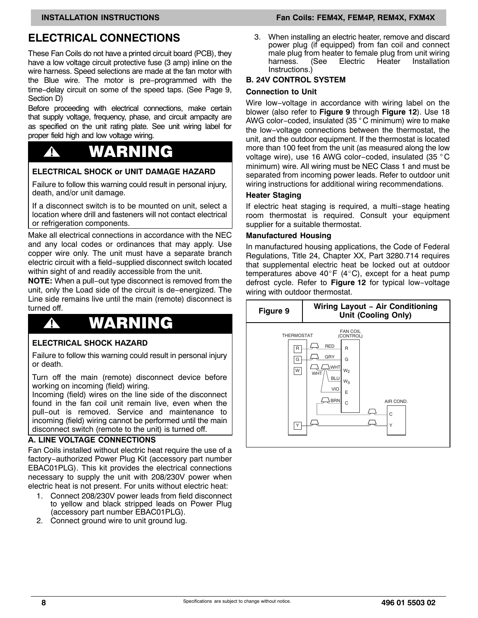## **ELECTRICAL CONNECTIONS**

These Fan Coils do not have a printed circuit board (PCB), they have a low voltage circuit protective fuse (3 amp) inline on the wire harness. Speed selections are made at the fan motor with the Blue wire. The motor is pre−programmed with the time−delay circuit on some of the speed taps. (See Page [9](#page-8-0), Section D)

Before proceeding with electrical connections, make certain that supply voltage, frequency, phase, and circuit ampacity are as specified on the unit rating plate. See unit wiring label for proper field high and low voltage wiring.

# **!** WARNING

#### **ELECTRICAL SHOCK or UNIT DAMAGE HAZARD**

Failure to follow this warning could result in personal injury, death, and/or unit damage.

If a disconnect switch is to be mounted on unit, select a location where drill and fasteners will not contact electrical or refrigeration components.

Make all electrical connections in accordance with the NEC and any local codes or ordinances that may apply. Use copper wire only. The unit must have a separate branch electric circuit with a field−supplied disconnect switch located within sight of and readily accessible from the unit.

**NOTE:** When a pull−out type disconnect is removed from the unit, only the Load side of the circuit is de−energized. The Line side remains live until the main (remote) disconnect is turned off.

# **!** WARNING

#### **ELECTRICAL SHOCK HAZARD**

Failure to follow this warning could result in personal injury or death.

Turn off the main (remote) disconnect device before working on incoming (field) wiring.

Incoming (field) wires on the line side of the disconnect found in the fan coil unit remain live, even when the pull−out is removed. Service and maintenance to incoming (field) wiring cannot be performed until the main disconnect switch (remote to the unit) is turned off.

#### **A. LINE VOLTAGE CONNECTIONS**

Fan Coils installed without electric heat require the use of a factory−authorized Power Plug Kit (accessory part number EBAC01PLG). This kit provides the electrical connections necessary to supply the unit with 208/230V power when electric heat is not present. For units without electric heat:

- 1. Connect 208/230V power leads from field disconnect to yellow and black stripped leads on Power Plug (accessory part number EBAC01PLG).
- 2. Connect ground wire to unit ground lug.

#### **INSTALLATION INSTRUCTIONS FAND RESERVE THE SEXUAL FAND REMAX, FEM4P, REM4X, FXM4X**

3. When installing an electric heater, remove and discard power plug (if equipped) from fan coil and connect male plug from heater to female plug from unit wiring harness. (See Electric Heater Installation Instructions.)

#### **B. 24V CONTROL SYSTEM**

#### **Connection to Unit**

Wire low−voltage in accordance with wiring label on the blower (also refer to **Figure 9** through **[Figure 12](#page-8-0)**). Use 18 AWG color−coded, insulated (35 ° C minimum) wire to make the low−voltage connections between the thermostat, the unit, and the outdoor equipment. If the thermostat is located more than 100 feet from the unit (as measured along the low voltage wire), use 16 AWG color−coded, insulated (35 ° C minimum) wire. All wiring must be NEC Class 1 and must be separated from incoming power leads. Refer to outdoor unit wiring instructions for additional wiring recommendations.

#### **Heater Staging**

If electric heat staging is required, a multi−stage heating room thermostat is required. Consult your equipment supplier for a suitable thermostat.

#### **Manufactured Housing**

In manufactured housing applications, the Code of Federal Regulations, Title 24, Chapter XX, Part 3280.714 requires that supplemental electric heat be locked out at outdoor<br>temperatures above 40°F (4°C), except for a heat pump temperatures above 40°F (4°C), except for a heat pump defrost cycle. Refer to **[Figure 12](#page-8-0)** for typical low−voltage wiring with outdoor thermostat.

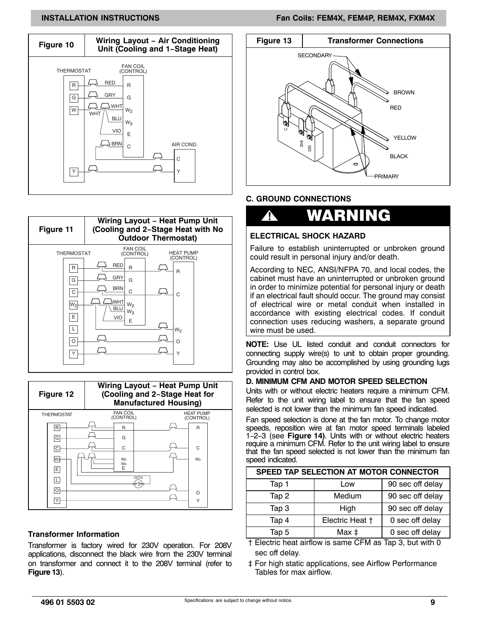#### **INSTALLATION INSTRUCTIONS FAND RESERVE THE SEXUAL FAND REMAX, FEM4P, REM4X, FXM4X**

<span id="page-8-0"></span>





#### **Transformer Information**

Transformer is factory wired for 230V operation. For 208V applications, disconnect the black wire from the 230V terminal on transformer and connect it to the 208V terminal (refer to **Figure 13**).



#### **C. GROUND CONNECTIONS**

# **!** WARNING

#### **ELECTRICAL SHOCK HAZARD**

Failure to establish uninterrupted or unbroken ground could result in personal injury and/or death.

According to NEC, ANSI/NFPA 70, and local codes, the cabinet must have an uninterrupted or unbroken ground in order to minimize potential for personal injury or death if an electrical fault should occur. The ground may consist of electrical wire or metal conduit when installed in accordance with existing electrical codes. If conduit connection uses reducing washers, a separate ground wire must be used.

**NOTE:** Use UL listed conduit and conduit connectors for connecting supply wire(s) to unit to obtain proper grounding. Grounding may also be accomplished by using grounding lugs provided in control box.

#### **D. MINIMUM CFM AND MOTOR SPEED SELECTION**

Units with or without electric heaters require a minimum CFM. Refer to the unit wiring label to ensure that the fan speed selected is not lower than the minimum fan speed indicated.

Fan speed selection is done at the fan motor. To change motor speeds, reposition wire at fan motor speed terminals labeled 1−2−3 (see **[Figure 14](#page-9-0))**. Units with or without electric heaters require a minimum CFM. Refer to the unit wiring label to ensure that the fan speed selected is not lower than the minimum fan speed indicated.

| SPEED TAP SELECTION AT MOTOR CONNECTOR |                 |                  |  |  |  |  |  |  |
|----------------------------------------|-----------------|------------------|--|--|--|--|--|--|
| Tap 1                                  | Low             | 90 sec off delay |  |  |  |  |  |  |
| Tap 2                                  | Medium          | 90 sec off delay |  |  |  |  |  |  |
| Tap 3                                  | High            | 90 sec off delay |  |  |  |  |  |  |
| Tap 4                                  | Electric Heat + | 0 sec off delay  |  |  |  |  |  |  |
| Tap 5                                  | Max ‡           | 0 sec off delay  |  |  |  |  |  |  |

 † Electric heat airflow is same CFM as Tap 3, but with 0 sec off delay.

 ‡ For high static applications, see Airflow Performance Tables for max airflow.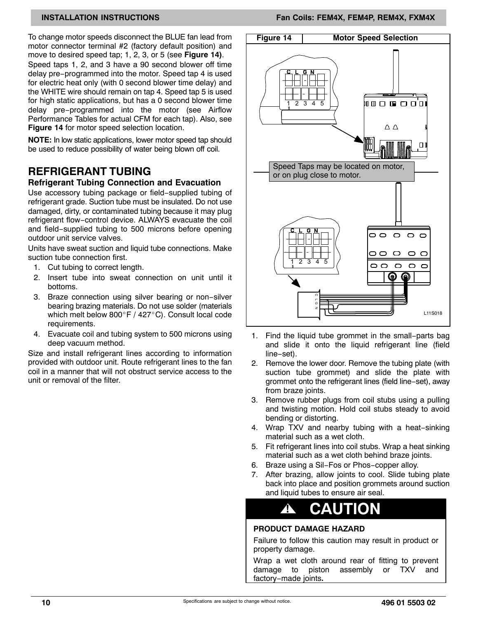<span id="page-9-0"></span>To change motor speeds disconnect the BLUE fan lead from motor connector terminal #2 (factory default position) and move to desired speed tap; 1, 2, 3, or 5 (see **Figure 14)**. Speed taps 1, 2, and 3 have a 90 second blower off time delay pre−programmed into the motor. Speed tap 4 is used for electric heat only (with 0 second blower time delay) and the WHITE wire should remain on tap 4. Speed tap 5 is used for high static applications, but has a 0 second blower time delay pre−programmed into the motor (see Airflow Performance Tables for actual CFM for each tap). Also, see **Figure 14** for motor speed selection location.

**NOTE:** In low static applications, lower motor speed tap should be used to reduce possibility of water being blown off coil.

### **REFRIGERANT TUBING**

#### **Refrigerant Tubing Connection and Evacuation**

Use accessory tubing package or field−supplied tubing of refrigerant grade. Suction tube must be insulated. Do not use damaged, dirty, or contaminated tubing because it may plug refrigerant flow−control device. ALWAYS evacuate the coil and field−supplied tubing to 500 microns before opening outdoor unit service valves.

Units have sweat suction and liquid tube connections. Make suction tube connection first.

- 1. Cut tubing to correct length.
- 2. Insert tube into sweat connection on unit until it bottoms.
- 3. Braze connection using silver bearing or non−silver Brazing brazing materials. Do not use solder (materials<br>which melt below 800°F / 427°C). Consult local code which melt below  $800^{\circ}$ F / 427 $^{\circ}$ C). Consult local code requirements.
- 4. Evacuate coil and tubing system to 500 microns using deep vacuum method.

Size and install refrigerant lines according to information provided with outdoor unit. Route refrigerant lines to the fan coil in a manner that will not obstruct service access to the unit or removal of the filter.



- 1. Find the liquid tube grommet in the small−parts bag and slide it onto the liquid refrigerant line (field line−set).
- 2. Remove the lower door. Remove the tubing plate (with suction tube grommet) and slide the plate with grommet onto the refrigerant lines (field line−set), away from braze joints.
- 3. Remove rubber plugs from coil stubs using a pulling and twisting motion. Hold coil stubs steady to avoid bending or distorting.
- 4. Wrap TXV and nearby tubing with a heat−sinking material such as a wet cloth.
- 5. Fit refrigerant lines into coil stubs. Wrap a heat sinking material such as a wet cloth behind braze joints.
- 6. Braze using a Sil−Fos or Phos−copper alloy.
- 7. After brazing, allow joints to cool. Slide tubing plate back into place and position grommets around suction and liquid tubes to ensure air seal.

# **! CAUTION**

#### **PRODUCT DAMAGE HAZARD**

Failure to follow this caution may result in product or property damage.

Wrap a wet cloth around rear of fitting to prevent damage to piston assembly or TXV and factory−made joints**.**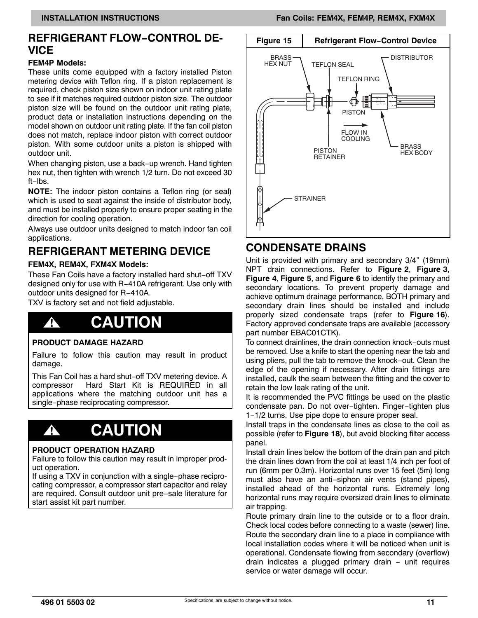### **REFRIGERANT FLOW−CONTROL DE-VICE**

#### **FEM4P Models:**

These units come equipped with a factory installed Piston metering device with Teflon ring. If a piston replacement is required, check piston size shown on indoor unit rating plate to see if it matches required outdoor piston size. The outdoor piston size will be found on the outdoor unit rating plate, product data or installation instructions depending on the model shown on outdoor unit rating plate. If the fan coil piston does not match, replace indoor piston with correct outdoor piston. With some outdoor units a piston is shipped with outdoor unit.

When changing piston, use a back−up wrench. Hand tighten hex nut, then tighten with wrench 1/2 turn. Do not exceed 30 ft−lbs.

**NOTE:** The indoor piston contains a Teflon ring (or seal) which is used to seat against the inside of distributor body, and must be installed properly to ensure proper seating in the direction for cooling operation.

Always use outdoor units designed to match indoor fan coil applications.

## **REFRIGERANT METERING DEVICE**

#### **FEM4X, REM4X, FXM4X Models:**

These Fan Coils have a factory installed hard shut−off TXV designed only for use with R−410A refrigerant. Use only with outdoor units designed for R−410A.

TXV is factory set and not field adjustable.

# **! CAUTION**

#### **PRODUCT DAMAGE HAZARD**

Failure to follow this caution may result in product damage.

This Fan Coil has a hard shut−off TXV metering device. A<br>compressor Hard Start Kit is REQUIRED in all Hard Start Kit is REQUIRED in all applications where the matching outdoor unit has a single−phase reciprocating compressor.

# **! CAUTION**

#### **PRODUCT OPERATION HAZARD**

Failure to follow this caution may result in improper product operation.

If using a TXV in conjunction with a single−phase reciprocating compressor, a compressor start capacitor and relay are required. Consult outdoor unit pre−sale literature for start assist kit part number.



### **CONDENSATE DRAINS**

Unit is provided with primary and secondary 3/4" (19mm) NPT drain connections. Refer to **[Figure 2](#page-2-0)**, **[Figure 3](#page-3-0)**, **[Figure 4](#page-4-0)**, **[Figure 5](#page-4-0)**, and **[Figure 6](#page-5-0)** to identify the primary and secondary locations. To prevent property damage and achieve optimum drainage performance, BOTH primary and secondary drain lines should be installed and include properly sized condensate traps (refer to **[Figure 16](#page-11-0)**). Factory approved condensate traps are available (accessory part number EBAC01CTK).

To connect drainlines, the drain connection knock−outs must be removed. Use a knife to start the opening near the tab and using pliers, pull the tab to remove the knock−out. Clean the edge of the opening if necessary. After drain fittings are installed, caulk the seam between the fitting and the cover to retain the low leak rating of the unit.

It is recommended the PVC fittings be used on the plastic condensate pan. Do not over−tighten. Finger−tighten plus 1−1/2 turns. Use pipe dope to ensure proper seal.

Install traps in the condensate lines as close to the coil as possible (refer to **[Figure 18](#page-11-0)**), but avoid blocking filter access panel.

Install drain lines below the bottom of the drain pan and pitch the drain lines down from the coil at least 1/4 inch per foot of run (6mm per 0.3m). Horizontal runs over 15 feet (5m) long must also have an anti−siphon air vents (stand pipes), installed ahead of the horizontal runs. Extremely long horizontal runs may require oversized drain lines to eliminate air trapping.

Route primary drain line to the outside or to a floor drain. Check local codes before connecting to a waste (sewer) line. Route the secondary drain line to a place in compliance with local installation codes where it will be noticed when unit is operational. Condensate flowing from secondary (overflow) drain indicates a plugged primary drain − unit requires service or water damage will occur.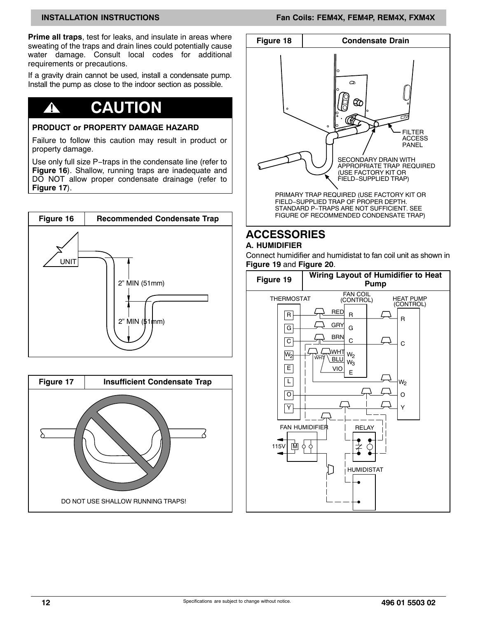<span id="page-11-0"></span>**Prime all traps**, test for leaks, and insulate in areas where sweating of the traps and drain lines could potentially cause water damage. Consult local codes for additional requirements or precautions.

If a gravity drain cannot be used, install a condensate pump. Install the pump as close to the indoor section as possible.

# **! CAUTION**

#### **PRODUCT or PROPERTY DAMAGE HAZARD**

Failure to follow this caution may result in product or property damage.

Use only full size P−traps in the condensate line (refer to **Figure 16**). Shallow, running traps are inadequate and DO NOT allow proper condensate drainage (refer to **Figure 17**).







# **ACCESSORIES**

### **A. HUMIDIFIER**

Connect humidifier and humidistat to fan coil unit as shown in **Figure 19** and **[Figure 20](#page-12-0)**.

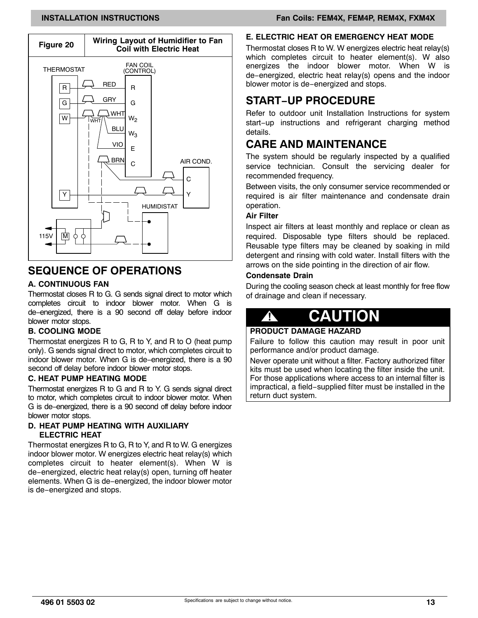<span id="page-12-0"></span>

## **SEQUENCE OF OPERATIONS**

#### **A. CONTINUOUS FAN**

Thermostat closes R to G. G sends signal direct to motor which completes circuit to indoor blower motor. When G is de−energized, there is a 90 second off delay before indoor blower motor stops.

#### **B. COOLING MODE**

Thermostat energizes R to G, R to Y, and R to O (heat pump only). G sends signal direct to motor, which completes circuit to indoor blower motor. When G is de−energized, there is a 90 second off delay before indoor blower motor stops.

#### **C. HEAT PUMP HEATING MODE**

Thermostat energizes R to G and R to Y. G sends signal direct to motor, which completes circuit to indoor blower motor. When G is de−energized, there is a 90 second off delay before indoor blower motor stops.

#### **D. HEAT PUMP HEATING WITH AUXILIARY ELECTRIC HEAT**

Thermostat energizes R to G, R to Y, and R to W. G energizes indoor blower motor. W energizes electric heat relay(s) which completes circuit to heater element(s). When W is de−energized, electric heat relay(s) open, turning off heater elements. When G is de−energized, the indoor blower motor is de−energized and stops.

### **INSTALLATION INSTRUCTIONS Fan Coils: FEM4X, FEM4P, REM4X, FXM4X**

### **E. ELECTRIC HEAT OR EMERGENCY HEAT MODE**

Thermostat closes R to W. W energizes electric heat relay(s) which completes circuit to heater element(s). W also energizes the indoor blower motor. When W is de−energized, electric heat relay(s) opens and the indoor blower motor is de−energized and stops.

### **START−UP PROCEDURE**

Refer to outdoor unit Installation Instructions for system start−up instructions and refrigerant charging method details.

## **CARE AND MAINTENANCE**

The system should be regularly inspected by a qualified service technician. Consult the servicing dealer for recommended frequency.

Between visits, the only consumer service recommended or required is air filter maintenance and condensate drain operation.

#### **Air Filter**

Inspect air filters at least monthly and replace or clean as required. Disposable type filters should be replaced. Reusable type filters may be cleaned by soaking in mild detergent and rinsing with cold water. Install filters with the arrows on the side pointing in the direction of air flow.

#### **Condensate Drain**

During the cooling season check at least monthly for free flow of drainage and clean if necessary.

# **! CAUTION**

#### **PRODUCT DAMAGE HAZARD**

Failure to follow this caution may result in poor unit performance and/or product damage.

Never operate unit without a filter. Factory authorized filter kits must be used when locating the filter inside the unit. For those applications where access to an internal filter is impractical, a field−supplied filter must be installed in the return duct system.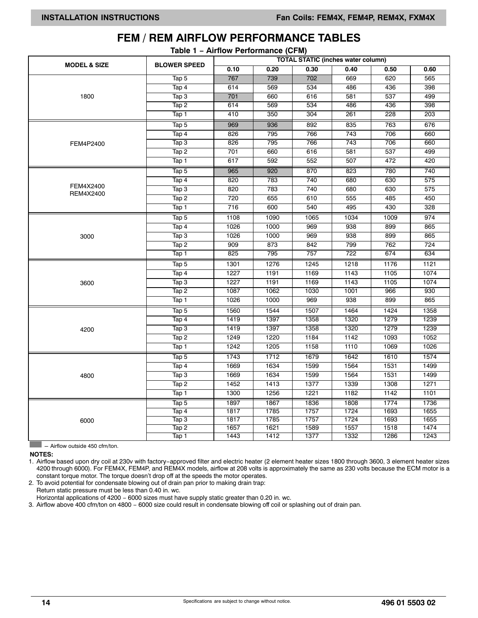|                         |                            | rable $1 -$ All now Terrormance (or $mf$ )<br><b>TOTAL STATIC (inches water column)</b> |      |                  |                  |      |                  |  |  |  |
|-------------------------|----------------------------|-----------------------------------------------------------------------------------------|------|------------------|------------------|------|------------------|--|--|--|
| <b>MODEL &amp; SIZE</b> | <b>BLOWER SPEED</b>        | 0.10                                                                                    | 0.20 | 0.30             | 0.40             | 0.50 | 0.60             |  |  |  |
|                         | Tap 5                      | 767                                                                                     | 739  | 702              | 669              | 620  | 565              |  |  |  |
|                         | Tap 4                      | 614                                                                                     | 569  | 534              | 486              | 436  | 398              |  |  |  |
| 1800                    | Tap3                       | 701                                                                                     | 660  | 616              | 581              | 537  | 499              |  |  |  |
|                         | Tap2                       | 614                                                                                     | 569  | 534              | 486              | 436  | 398              |  |  |  |
|                         | Tap 1                      | 410                                                                                     | 350  | $\overline{304}$ | 261              | 228  | $\overline{203}$ |  |  |  |
|                         | Tap 5                      | 969                                                                                     | 936  | 892              | 835              | 763  | 676              |  |  |  |
|                         | Tap 4                      | 826                                                                                     | 795  | 766              | 743              | 706  | 660              |  |  |  |
| FEM4P2400               | Tap 3                      | 826                                                                                     | 795  | 766              | $\overline{743}$ | 706  | 660              |  |  |  |
|                         | Tap 2                      | 701                                                                                     | 660  | 616              | 581              | 537  | 499              |  |  |  |
|                         | Tap 1                      | 617                                                                                     | 592  | 552              | 507              | 472  | 420              |  |  |  |
|                         | Tap 5                      | 965                                                                                     | 920  | 870              | 823              | 780  | 740              |  |  |  |
|                         | Tap 4                      | 820                                                                                     | 783  | 740              | 680              | 630  | $\overline{575}$ |  |  |  |
| FEM4X2400<br>REM4X2400  | Tap 3                      | 820                                                                                     | 783  | 740              | 680              | 630  | 575              |  |  |  |
|                         | Tap2                       | 720                                                                                     | 655  | 610              | 555              | 485  | 450              |  |  |  |
|                         | Tap 1                      | 716                                                                                     | 600  | 540              | 495              | 430  | 328              |  |  |  |
|                         | Tap 5                      | 1108                                                                                    | 1090 | 1065             | 1034             | 1009 | 974              |  |  |  |
|                         | Tap 4                      | 1026                                                                                    | 1000 | 969              | 938              | 899  | 865              |  |  |  |
| 3000                    | Tap 3                      | 1026                                                                                    | 1000 | 969              | 938              | 899  | 865              |  |  |  |
|                         | Tap 2                      | 909                                                                                     | 873  | 842              | 799              | 762  | 724              |  |  |  |
|                         | Tap 1                      | 825                                                                                     | 795  | 757              | $\overline{722}$ | 674  | 634              |  |  |  |
|                         | Tap 5                      | 1301                                                                                    | 1276 | 1245             | 1218             | 1176 | 1121             |  |  |  |
|                         | Tap 4                      | 1227                                                                                    | 1191 | 1169             | 1143             | 1105 | 1074             |  |  |  |
| 3600                    | $\overline{\text{Tap}}\,3$ | 1227                                                                                    | 1191 | 1169             | 1143             | 1105 | 1074             |  |  |  |
|                         | Tap 2                      | 1087                                                                                    | 1062 | 1030             | 1001             | 966  | 930              |  |  |  |
|                         | Tap 1                      | 1026                                                                                    | 1000 | 969              | 938              | 899  | 865              |  |  |  |
|                         | Tap 5                      | 1560                                                                                    | 1544 | 1507             | 1464             | 1424 | 1358             |  |  |  |
|                         | Tap 4                      | 1419                                                                                    | 1397 | 1358             | 1320             | 1279 | 1239             |  |  |  |
| 4200                    | Tap 3                      | 1419                                                                                    | 1397 | 1358             | 1320             | 1279 | 1239             |  |  |  |
|                         | Tap2                       | 1249                                                                                    | 1220 | 1184             | 1142             | 1093 | 1052             |  |  |  |
|                         | Tap 1                      | 1242                                                                                    | 1205 | 1158             | 1110             | 1069 | 1026             |  |  |  |
|                         | Tap 5                      | 1743                                                                                    | 1712 | 1679             | 1642             | 1610 | 1574             |  |  |  |
|                         | Tap 4                      | 1669                                                                                    | 1634 | 1599             | 1564             | 1531 | 1499             |  |  |  |
| 4800                    | Tap 3                      | 1669                                                                                    | 1634 | 1599             | 1564             | 1531 | 1499             |  |  |  |
|                         | Tap 2                      | 1452                                                                                    | 1413 | 1377             | 1339             | 1308 | 1271             |  |  |  |
|                         | Tap 1                      | 1300                                                                                    | 1256 | 1221             | 1182             | 1142 | 1101             |  |  |  |
|                         | Tap 5                      | 1897                                                                                    | 1867 | 1836             | 1808             | 1774 | 1736             |  |  |  |
|                         | Tap 4                      | 1817                                                                                    | 1785 | 1757             | 1724             | 1693 | 1655             |  |  |  |
| 6000                    | Tap 3                      | 1817                                                                                    | 1785 | 1757             | 1724             | 1693 | 1655             |  |  |  |
|                         | Tap 2                      | 1657                                                                                    | 1621 | 1589             | 1557             | 1518 | 1474             |  |  |  |
|                         | Tap 1                      | 1443                                                                                    | 1412 | 1377             | 1332             | 1286 | 1243             |  |  |  |

# **FEM / REM AIRFLOW PERFORMANCE TABLES**

**Table 1 − Airflow Performance (CFM)**

 $\Box$  - Airflow outside 450 cfm/ton.

**NOTES:**

1. Airflow based upon dry coil at 230v with factory−approved filter and electric heater (2 element heater sizes 1800 through 3600, 3 element heater sizes 4200 through 6000). For FEM4X, FEM4P, and REM4X models, airflow at 208 volts is approximately the same as 230 volts because the ECM motor is a constant torque motor. The torque doesn't drop off at the speeds the motor operates.

2. To avoid potential for condensate blowing out of drain pan prior to making drain trap:

Return static pressure must be less than 0.40 in. wc. Horizontal applications of 4200 - 6000 sizes must have supply static greater than 0.20 in. wc.

3. Airflow above 400 cfm/ton on 4800 − 6000 size could result in condensate blowing off coil or splashing out of drain pan.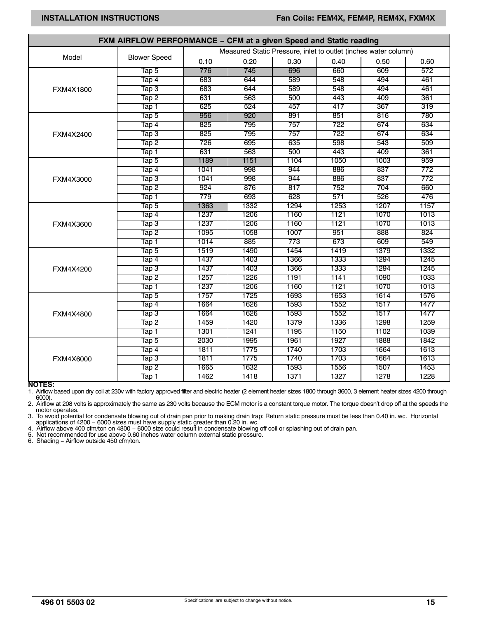| FXM AIRFLOW PERFORMANCE - CFM at a given Speed and Static reading |                                          |                  |      |      |      |      |      |  |  |  |
|-------------------------------------------------------------------|------------------------------------------|------------------|------|------|------|------|------|--|--|--|
| Measured Static Pressure, inlet to outlet (inches water column)   |                                          |                  |      |      |      |      |      |  |  |  |
| Model                                                             | <b>Blower Speed</b>                      | 0.10             | 0.20 | 0.30 | 0.40 | 0.50 | 0.60 |  |  |  |
|                                                                   | $\overline{\textsf{I}}$ ap 5             | 776              | 745  | 696  | 660  | 609  | 572  |  |  |  |
|                                                                   | $\overline{\textsf{Tap 4}}$              | 683              | 644  | 589  | 548  | 494  | 461  |  |  |  |
| FXM4X1800                                                         | $\overline{\text{Iap 3}}$                | 683              | 644  | 589  | 548  | 494  | 461  |  |  |  |
|                                                                   | Tap 2                                    | 631              | 563  | 500  | 443  | 409  | 361  |  |  |  |
|                                                                   | Tap 1                                    | 625              | 524  | 457  | 417  | 367  | 319  |  |  |  |
|                                                                   | Tap 5                                    | 956              | 920  | 891  | 851  | 816  | 780  |  |  |  |
|                                                                   | $\overline{\textsf{Tap 4}}$              | $\overline{825}$ | 795  | 757  | 722  | 674  | 634  |  |  |  |
| FXM4X2400                                                         | $\mathsf{Tap} \, 3$                      | 825              | 795  | 757  | 722  | 674  | 634  |  |  |  |
|                                                                   | $\overline{\textsf{Tap 2}}$              | 726              | 695  | 635  | 598  | 543  | 509  |  |  |  |
|                                                                   | Tap 1                                    | 631              | 563  | 500  | 443  | 409  | 361  |  |  |  |
|                                                                   | Tap 5                                    | 1189             | 1151 | 1104 | 1050 | 1003 | 959  |  |  |  |
|                                                                   | Tap 4                                    | 1041             | 998  | 944  | 886  | 837  | 772  |  |  |  |
| FXM4X3000                                                         | $\overline{\textsf{Iap}}\,3$             | 1041             | 998  | 944  | 886  | 837  | 772  |  |  |  |
|                                                                   | Tap 2                                    | 924              | 876  | 817  | 752  | 704  | 660  |  |  |  |
|                                                                   | Tap 1                                    | 779              | 693  | 628  | 571  | 526  | 476  |  |  |  |
|                                                                   | Tap 5                                    | 1363             | 1332 | 1294 | 1253 | 1207 | 1157 |  |  |  |
|                                                                   | Tap 4                                    | 1237             | 1206 | 1160 | 1121 | 1070 | 1013 |  |  |  |
| FXM4X3600                                                         | $\mathsf{Tap} \, 3$                      | 1237             | 1206 | 1160 | 1121 | 1070 | 1013 |  |  |  |
|                                                                   | Tap 2                                    | 1095             | 1058 | 1007 | 951  | 888  | 824  |  |  |  |
|                                                                   | Tap 1                                    | 1014             | 885  | 773  | 673  | 609  | 549  |  |  |  |
|                                                                   | Tap 5                                    | 1519             | 1490 | 1454 | 1419 | 1379 | 1332 |  |  |  |
|                                                                   | Tap 4                                    | 1437             | 1403 | 1366 | 1333 | 1294 | 1245 |  |  |  |
| FXM4X4200                                                         | Tap 3                                    | 1437             | 1403 | 1366 | 1333 | 1294 | 1245 |  |  |  |
|                                                                   | $\overline{\textsf{Tap 2}}$              | 1257             | 1226 | 1191 | 1141 | 1090 | 1033 |  |  |  |
|                                                                   | Tap 1                                    | 1237             | 1206 | 1160 | 1121 | 1070 | 1013 |  |  |  |
|                                                                   | Tap 5                                    | 1757             | 1725 | 1693 | 1653 | 1614 | 1576 |  |  |  |
|                                                                   | $\overline{\textsf{Tap 4}}$              | 1664             | 1626 | 1593 | 1552 | 1517 | 1477 |  |  |  |
| FXM4X4800                                                         | $\overline{\textsf{Tap}}\hspace{0.5mm}3$ | 1664             | 1626 | 1593 | 1552 | 1517 | 1477 |  |  |  |
|                                                                   | Tap 2                                    | 1459             | 1420 | 1379 | 1336 | 1298 | 1259 |  |  |  |
|                                                                   | Tap 1                                    | 1301             | 1241 | 1195 | 1150 | 1102 | 1039 |  |  |  |
|                                                                   | $\overline{\textsf{Iap 5}}$              | 2030             | 1995 | 1961 | 1927 | 1888 | 1842 |  |  |  |
|                                                                   | $\overline{\textsf{Tap 4}}$              | 1811             | 1775 | 1740 | 1703 | 1664 | 1613 |  |  |  |
| FXM4X6000                                                         | Тар З                                    | 1811             | 1775 | 1740 | 1703 | 1664 | 1613 |  |  |  |
|                                                                   | Tap 2                                    | 1665             | 1632 | 1593 | 1556 | 1507 | 1453 |  |  |  |
|                                                                   | Tap 1                                    | 1462             | 1418 | 1371 | 1327 | 1278 | 1228 |  |  |  |

**NOTES:**

1. Airflow based upon dry coil at 230v with factory approved filter and electric heater (2 element heater sizes 1800 through 3600, 3 element heater sizes 4200 through

6000).<br>2. Airflow Airflow at 208 volts is approximately the same as 230 volts because the ECM motor is a constant torque motor. The torque doesn't drop off at the speeds the motor operates.

3. To avoid potential for condensate blowing out of drain pan prior to making drain trap: Return static pressure must be less than 0.40 in. wc. Horizontal

applications of 4200 – 6000 sizes must have supply static greater than 0.20 in. wc.<br>4. Airflow above 400 cfm/ton on 4800 – 6000 size could result in condensate blowing off coil or splashing out of drain pan.<br>5. Not recomme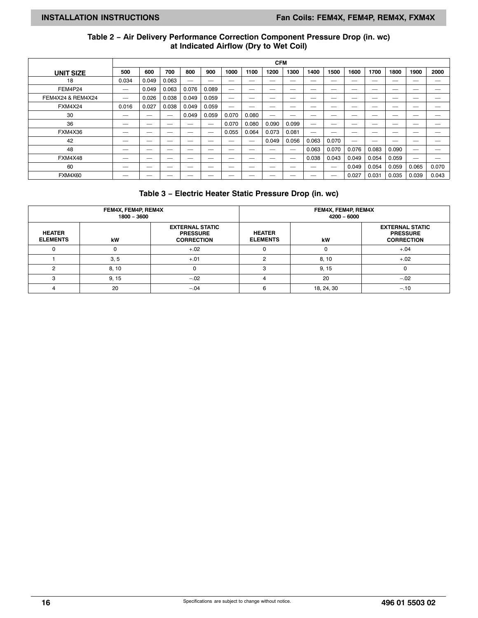#### **Table 2 − Air Delivery Performance Correction Component Pressure Drop (in. wc) at Indicated Airflow (Dry to Wet Coil)**

|                   | <b>CFM</b>               |       |                          |       |                          |       |                          |                          |                          |                          |       |                          |       |       |                          |                          |
|-------------------|--------------------------|-------|--------------------------|-------|--------------------------|-------|--------------------------|--------------------------|--------------------------|--------------------------|-------|--------------------------|-------|-------|--------------------------|--------------------------|
| <b>UNIT SIZE</b>  | 500                      | 600   | 700                      | 800   | 900                      | 1000  | 1100                     | 1200                     | 1300                     | 1400                     | 1500  | 1600                     | 1700  | 1800  | 1900                     | 2000                     |
| 18                | 0.034                    | 0.049 | 0.063                    |       | $\overline{\phantom{a}}$ |       | __                       | __                       | __                       | $\overline{\phantom{a}}$ | _     |                          | _     | __    | _                        | $\overline{\phantom{a}}$ |
| FEM4P24           |                          | 0.049 | 0.063                    | 0.076 | 0.089                    |       | _                        |                          | $\overline{\phantom{a}}$ | $\overline{\phantom{a}}$ |       | $\overline{\phantom{a}}$ | _     | __    | -                        | $\overline{\phantom{a}}$ |
| FEM4X24 & REM4X24 |                          | 0.026 | 0.038                    | 0.049 | 0.059                    |       |                          |                          |                          |                          | _     |                          |       |       |                          |                          |
| <b>FXM4X24</b>    | 0.016                    | 0.027 | 0.038                    | 0.049 | 0.059                    |       | __                       |                          | __                       | $\overline{\phantom{a}}$ | _     | ___                      |       | __    |                          | $\overline{\phantom{a}}$ |
| 30                | $-$                      | _     |                          | 0.049 | 0.059                    | 0.070 | 0.080                    |                          | __                       | __                       | __    |                          |       |       |                          |                          |
| 36                |                          | _     | -                        |       |                          | 0.070 | 0.080                    | 0.090                    | 0.099                    | $\overline{\phantom{a}}$ | _     |                          |       |       |                          |                          |
| FXM4X36           | __                       | _     | -                        | __    |                          | 0.055 | 0.064                    | 0.073                    | 0.081                    |                          |       |                          |       |       |                          | $\overline{\phantom{a}}$ |
| 42                | $\overline{\phantom{a}}$ | _     | __                       | __    | $\overline{\phantom{a}}$ |       | $\overline{\phantom{a}}$ | 0.049                    | 0.056                    | 0.063                    | 0.070 |                          |       |       |                          |                          |
| 48                | $-$                      |       | $\overline{\phantom{a}}$ |       |                          |       | $\overline{\phantom{a}}$ | __                       |                          | 0.063                    | 0.070 | 0.076                    | 0.083 | 0.090 | $\overline{\phantom{a}}$ | $\overline{\phantom{a}}$ |
| FXM4X48           | __                       | _     |                          | __    | $\overline{\phantom{a}}$ | _     |                          |                          | _                        | 0.038                    | 0.043 | 0.049                    | 0.054 | 0.059 |                          |                          |
| 60                |                          |       |                          |       |                          |       | _                        | $\overline{\phantom{a}}$ | $\overline{\phantom{a}}$ |                          |       | 0.049                    | 0.054 | 0.059 | 0.065                    | 0.070                    |
| <b>FXM4X60</b>    | __                       | _     |                          | __    | $\overline{\phantom{a}}$ | __    |                          |                          |                          | _                        |       | 0.027                    | 0.031 | 0.035 | 0.039                    | 0.043                    |

#### **Table 3 − Electric Heater Static Pressure Drop (in. wc)**

|                                  | FEM4X, FEM4P, REM4X<br>1800 - 3600 |                                                                |                                  | FEM4X, FEM4P, REM4X<br>$4200 - 6000$ |                                                                |
|----------------------------------|------------------------------------|----------------------------------------------------------------|----------------------------------|--------------------------------------|----------------------------------------------------------------|
| <b>HEATER</b><br><b>ELEMENTS</b> | kW                                 | <b>EXTERNAL STATIC</b><br><b>PRESSURE</b><br><b>CORRECTION</b> | <b>HEATER</b><br><b>ELEMENTS</b> | kW                                   | <b>EXTERNAL STATIC</b><br><b>PRESSURE</b><br><b>CORRECTION</b> |
| Ω                                |                                    | $+.02$                                                         |                                  |                                      | $+.04$                                                         |
|                                  | 3, 5                               | $+.01$                                                         | ົ                                | 8, 10                                | $+.02$                                                         |
| o                                | 8, 10                              | ი                                                              | 3                                | 9, 15                                |                                                                |
| З                                | 9, 15                              | $-.02$                                                         |                                  | 20                                   | $-.02$                                                         |
| 4                                | 20                                 | $-.04$                                                         | 6                                | 18, 24, 30                           | $-.10$                                                         |